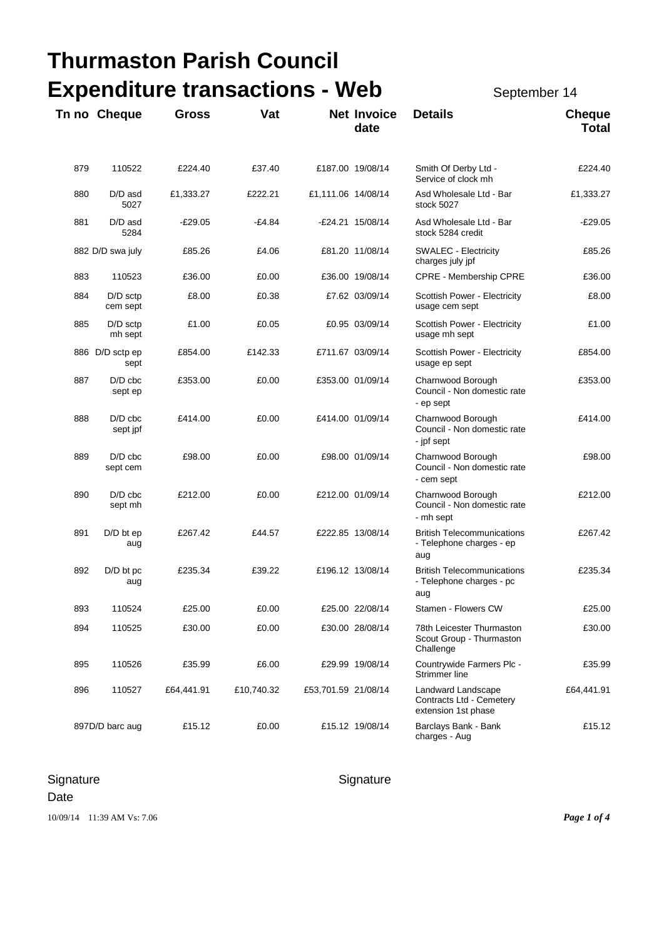| Thurmaston Parish Council |                         |                                       |              |                     |                            |                                                                       |                               |  |
|---------------------------|-------------------------|---------------------------------------|--------------|---------------------|----------------------------|-----------------------------------------------------------------------|-------------------------------|--|
|                           |                         | <b>Expenditure transactions - Web</b> | September 14 |                     |                            |                                                                       |                               |  |
|                           | Tn no Cheque            | <b>Gross</b>                          | Vat          |                     | <b>Net Invoice</b><br>date | <b>Details</b>                                                        | <b>Cheque</b><br><b>Total</b> |  |
| 879                       | 110522                  | £224.40                               | £37.40       |                     | £187.00 19/08/14           | Smith Of Derby Ltd -<br>Service of clock mh                           | £224.40                       |  |
| 880                       | D/D asd<br>5027         | £1,333.27                             | £222.21      | £1,111.06 14/08/14  |                            | Asd Wholesale Ltd - Bar<br>stock 5027                                 | £1,333.27                     |  |
| 881                       | $D/D$ asd<br>5284       | $-£29.05$                             | $-£4.84$     |                     | -£24.21 15/08/14           | Asd Wholesale Ltd - Bar<br>stock 5284 credit                          | $-E29.05$                     |  |
|                           | 882 D/D swa july        | £85.26                                | £4.06        |                     | £81.20 11/08/14            | <b>SWALEC - Electricity</b><br>charges july jpf                       | £85.26                        |  |
| 883                       | 110523                  | £36.00                                | £0.00        |                     | £36.00 19/08/14            | CPRE - Membership CPRE                                                | £36.00                        |  |
| 884                       | $D/D$ sctp<br>cem sept  | £8.00                                 | £0.38        |                     | £7.62 03/09/14             | Scottish Power - Electricity<br>usage cem sept                        | £8.00                         |  |
| 885                       | $D/D$ sctp<br>mh sept   | £1.00                                 | £0.05        |                     | £0.95 03/09/14             | Scottish Power - Electricity<br>usage mh sept                         | £1.00                         |  |
|                           | 886 D/D sctp ep<br>sept | £854.00                               | £142.33      |                     | £711.67 03/09/14           | Scottish Power - Electricity<br>usage ep sept                         | £854.00                       |  |
| 887                       | $D/D$ cbc<br>sept ep    | £353.00                               | £0.00        |                     | £353.00 01/09/14           | Charnwood Borough<br>Council - Non domestic rate<br>- ep sept         | £353.00                       |  |
| 888                       | $D/D$ cbc<br>sept jpf   | £414.00                               | £0.00        |                     | £414.00 01/09/14           | Charnwood Borough<br>Council - Non domestic rate<br>- jpf sept        | £414.00                       |  |
| 889                       | $D/D$ cbc<br>sept cem   | £98.00                                | £0.00        |                     | £98.00 01/09/14            | Charnwood Borough<br>Council - Non domestic rate<br>- cem sept        | £98.00                        |  |
| 890                       | $D/D$ cbc<br>sept mh    | £212.00                               | £0.00        |                     | £212.00 01/09/14           | Charnwood Borough<br>Council - Non domestic rate<br>- mh sept         | £212.00                       |  |
| 891                       | $D/D$ bt ep<br>aug      | £267.42                               | £44.57       |                     | £222.85 13/08/14           | <b>British Telecommunications</b><br>- Telephone charges - ep<br>aug  | £267.42                       |  |
| 892                       | D/D bt pc<br>aug        | £235.34                               | £39.22       |                     | £196.12 13/08/14           | <b>British Telecommunications</b><br>- Telephone charges - pc<br>aug  | £235.34                       |  |
| 893                       | 110524                  | £25.00                                | £0.00        |                     | £25.00 22/08/14            | Stamen - Flowers CW                                                   | £25.00                        |  |
| 894                       | 110525                  | £30.00                                | £0.00        |                     | £30.00 28/08/14            | 78th Leicester Thurmaston<br>Scout Group - Thurmaston<br>Challenge    | £30.00                        |  |
| 895                       | 110526                  | £35.99                                | £6.00        |                     | £29.99 19/08/14            | Countrywide Farmers Plc -<br>Strimmer line                            | £35.99                        |  |
| 896                       | 110527                  | £64,441.91                            | £10,740.32   | £53,701.59 21/08/14 |                            | Landward Landscape<br>Contracts Ltd - Cemetery<br>extension 1st phase | £64,441.91                    |  |
|                           | 897D/D barc aug         | £15.12                                | £0.00        |                     | £15.12 19/08/14            | Barclays Bank - Bank<br>charges - Aug                                 | £15.12                        |  |

# Signature Signature Signature Signature

Date

10/09/14 11:39 AM Vs: 7.06 *Page 1 of 4*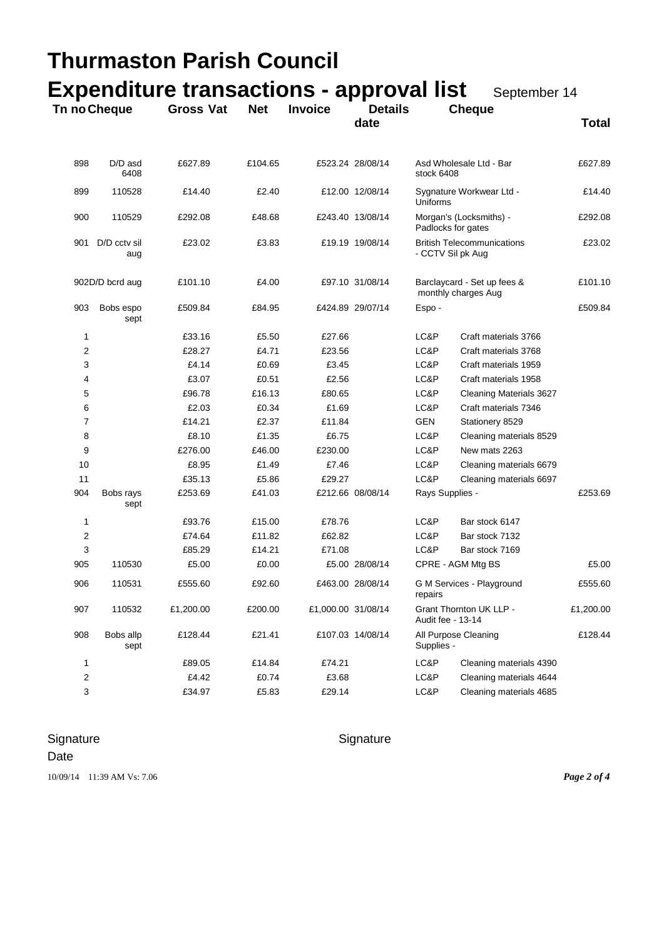|                |                     | Thurmaston Parish Council                       |            |                    |                        |                 |                                                        |              |  |
|----------------|---------------------|-------------------------------------------------|------------|--------------------|------------------------|-----------------|--------------------------------------------------------|--------------|--|
|                |                     | <b>Expenditure transactions - approval list</b> |            |                    |                        |                 | September 14                                           |              |  |
| Tn no Cheque   |                     | <b>Gross Vat</b>                                | <b>Net</b> | <b>Invoice</b>     | <b>Details</b><br>date |                 | <b>Cheque</b>                                          | <b>Total</b> |  |
| 898            | D/D asd<br>6408     | £627.89                                         | £104.65    |                    | £523.24 28/08/14       | stock 6408      | Asd Wholesale Ltd - Bar                                | £627.89      |  |
| 899            | 110528              | £14.40                                          | £2.40      |                    | £12.00 12/08/14        | <b>Uniforms</b> | Sygnature Workwear Ltd -                               |              |  |
| 900            | 110529              | £292.08                                         | £48.68     |                    | £243.40 13/08/14       |                 | Morgan's (Locksmiths) -<br>Padlocks for gates          |              |  |
| 901            | D/D cctv sil<br>aug | £23.02                                          | £3.83      |                    | £19.19 19/08/14        |                 | <b>British Telecommunications</b><br>- CCTV Sil pk Aug |              |  |
|                | 902D/D bcrd aug     | £101.10                                         | £4.00      |                    | £97.10 31/08/14        |                 | Barclaycard - Set up fees &<br>monthly charges Aug     | £101.10      |  |
| 903            | Bobs espo<br>sept   | £509.84                                         | £84.95     |                    | £424.89 29/07/14       | Espo -          |                                                        | £509.84      |  |
| 1              |                     | £33.16                                          | £5.50      | £27.66             |                        | LC&P            | Craft materials 3766                                   |              |  |
| 2              |                     | £28.27                                          | £4.71      | £23.56             |                        | LC&P            | Craft materials 3768                                   |              |  |
| 3              |                     | £4.14                                           | £0.69      | £3.45              |                        | LC&P            | Craft materials 1959                                   |              |  |
| 4              |                     | £3.07                                           | £0.51      | £2.56              |                        | LC&P            | Craft materials 1958                                   |              |  |
| 5              |                     | £96.78                                          | £16.13     | £80.65             |                        | LC&P            | Cleaning Materials 3627                                |              |  |
| 6              |                     | £2.03                                           | £0.34      | £1.69              |                        | LC&P            | Craft materials 7346                                   |              |  |
| 7              |                     | £14.21                                          | £2.37      | £11.84             |                        | <b>GEN</b>      | Stationery 8529                                        |              |  |
| 8              |                     | £8.10                                           | £1.35      | £6.75              |                        | LC&P            | Cleaning materials 8529                                |              |  |
| 9              |                     | £276.00                                         | £46.00     | £230.00            |                        | LC&P            | New mats 2263                                          |              |  |
| 10             |                     | £8.95                                           | £1.49      | £7.46              |                        | LC&P            | Cleaning materials 6679                                |              |  |
| 11             |                     | £35.13                                          | £5.86      | £29.27             |                        | LC&P            | Cleaning materials 6697                                |              |  |
| 904            | Bobs rays<br>sept   | £253.69                                         | £41.03     |                    | £212.66 08/08/14       | Rays Supplies - |                                                        | £253.69      |  |
| 1              |                     | £93.76                                          | £15.00     | £78.76             |                        | LC&P            | Bar stock 6147                                         |              |  |
| $\overline{2}$ |                     | £74.64                                          | £11.82     | £62.82             |                        | LC&P            | Bar stock 7132                                         |              |  |
| 3              |                     | £85.29                                          | £14.21     | £71.08             |                        | LC&P            | Bar stock 7169                                         |              |  |
| 905            | 110530              | £5.00                                           | £0.00      |                    | £5.00 28/08/14         |                 | CPRE - AGM Mtg BS                                      | £5.00        |  |
| 906            | 110531              | £555.60                                         | £92.60     |                    | £463.00 28/08/14       | repairs         | G M Services - Playground                              |              |  |
| 907            | 110532              | £1,200.00                                       | £200.00    | £1,000.00 31/08/14 |                        |                 | Grant Thornton UK LLP -<br>Audit fee - 13-14           |              |  |
| 908            | Bobs allp<br>sept   | £128.44                                         | £21.41     |                    | £107.03 14/08/14       |                 | All Purpose Cleaning<br>Supplies -                     |              |  |
| 1              |                     | £89.05                                          | £14.84     | £74.21             |                        | LC&P            | Cleaning materials 4390                                |              |  |
| 2              |                     | £4.42                                           | £0.74      | £3.68              |                        | LC&P            | Cleaning materials 4644                                |              |  |
| 3              |                     | £34.97                                          | £5.83      | £29.14             |                        | LC&P            | Cleaning materials 4685                                |              |  |

# Signature Signature Signature

#### Date

10/09/14 11:39 AM Vs: 7.06 *Page 2 of 4*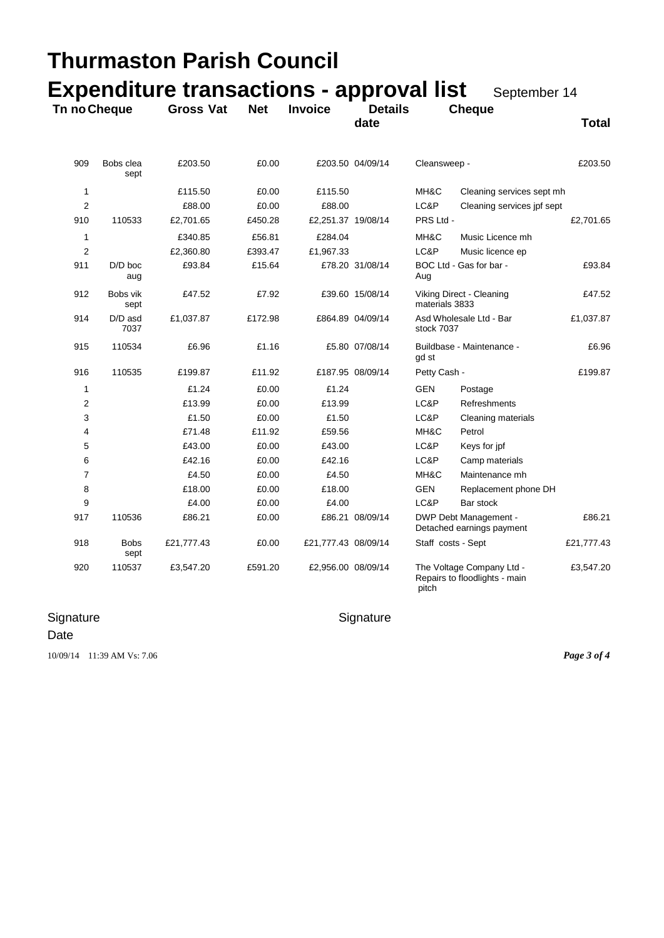| Thurmaston Parish Council<br><b>Expenditure transactions - approval list</b> |                     |                  |            |                     |                        |                                       |                                                            |              |  |
|------------------------------------------------------------------------------|---------------------|------------------|------------|---------------------|------------------------|---------------------------------------|------------------------------------------------------------|--------------|--|
| Tn no Cheque                                                                 |                     | <b>Gross Vat</b> | <b>Net</b> | <b>Invoice</b>      | <b>Details</b><br>date | September 14<br><b>Cheque</b>         |                                                            | <b>Total</b> |  |
|                                                                              |                     |                  |            |                     |                        |                                       |                                                            |              |  |
| 909                                                                          | Bobs clea<br>sept   | £203.50          | £0.00      |                     | £203.50 04/09/14       | Cleansweep -                          |                                                            | £203.50      |  |
| 1                                                                            |                     | £115.50          | £0.00      | £115.50             |                        | MH&C                                  | Cleaning services sept mh                                  |              |  |
| 2                                                                            |                     | £88.00           | £0.00      | £88.00              |                        | LC&P                                  | Cleaning services jpf sept                                 |              |  |
| 910                                                                          | 110533              | £2,701.65        | £450.28    | £2,251.37 19/08/14  |                        | PRS Ltd -                             |                                                            | £2,701.65    |  |
| 1                                                                            |                     | £340.85          | £56.81     | £284.04             |                        | MH&C                                  | Music Licence mh                                           |              |  |
| 2                                                                            |                     | £2,360.80        | £393.47    | £1,967.33           |                        | LC&P                                  | Music licence ep                                           |              |  |
| 911                                                                          | $D/D$ boc<br>aug    | £93.84           | £15.64     |                     | £78.20 31/08/14        | Aug                                   | BOC Ltd - Gas for bar -                                    | £93.84       |  |
| 912                                                                          | Bobs vik<br>sept    | £47.52           | £7.92      |                     | £39.60 15/08/14        | materials 3833                        | Viking Direct - Cleaning                                   | £47.52       |  |
| 914                                                                          | D/D asd<br>7037     | £1,037.87        | £172.98    |                     | £864.89 04/09/14       | Asd Wholesale Ltd - Bar<br>stock 7037 |                                                            | £1,037.87    |  |
| 915                                                                          | 110534              | £6.96            | £1.16      |                     | £5.80 07/08/14         | gd st                                 | Buildbase - Maintenance -                                  | £6.96        |  |
| 916                                                                          | 110535              | £199.87          | £11.92     |                     | £187.95 08/09/14       | Petty Cash -                          |                                                            | £199.87      |  |
| 1                                                                            |                     | £1.24            | £0.00      | £1.24               |                        | GEN                                   | Postage                                                    |              |  |
| 2                                                                            |                     | £13.99           | £0.00      | £13.99              |                        | LC&P                                  | Refreshments                                               |              |  |
| 3                                                                            |                     | £1.50            | £0.00      | £1.50               |                        | LC&P                                  | Cleaning materials                                         |              |  |
| 4                                                                            |                     | £71.48           | £11.92     | £59.56              |                        | MH&C                                  | Petrol                                                     |              |  |
| 5                                                                            |                     | £43.00           | £0.00      | £43.00              |                        | LC&P                                  | Keys for jpf                                               |              |  |
| 6                                                                            |                     | £42.16           | £0.00      | £42.16              |                        | LC&P                                  | Camp materials                                             |              |  |
| 7                                                                            |                     | £4.50            | £0.00      | £4.50               |                        | MH&C                                  | Maintenance mh                                             |              |  |
| 8                                                                            |                     | £18.00           | £0.00      | £18.00              |                        | <b>GEN</b>                            | Replacement phone DH                                       |              |  |
| 9                                                                            |                     | £4.00            | £0.00      | £4.00               |                        | LC&P                                  | Bar stock                                                  |              |  |
| 917                                                                          | 110536              | £86.21           | £0.00      |                     | £86.21 08/09/14        |                                       | DWP Debt Management -<br>Detached earnings payment         | £86.21       |  |
| 918                                                                          | <b>Bobs</b><br>sept | £21,777.43       | £0.00      | £21,777.43 08/09/14 |                        | Staff costs - Sept                    |                                                            | £21,777.43   |  |
| 920                                                                          | 110537              | £3,547.20        | £591.20    | £2,956.00 08/09/14  |                        | pitch                                 | The Voltage Company Ltd -<br>Repairs to floodlights - main | £3,547.20    |  |

# Signature Signature Signature

### Date

10/09/14 11:39 AM Vs: 7.06 *Page 3 of 4*